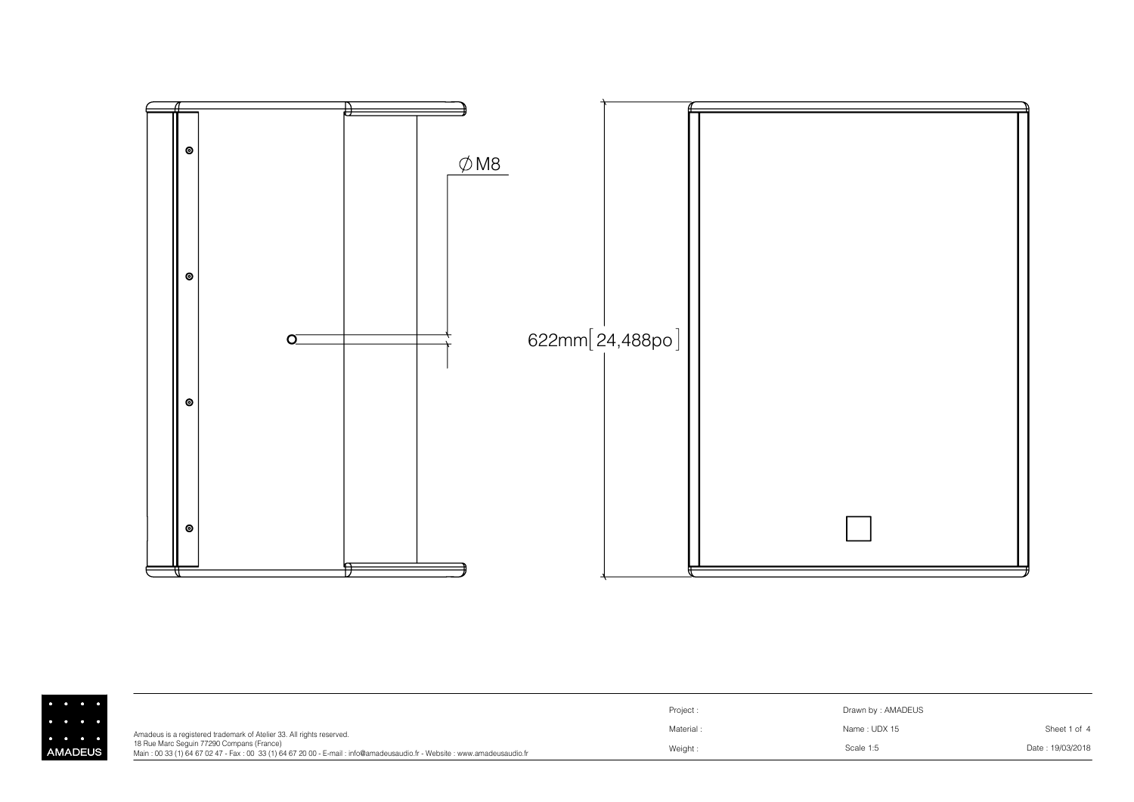

|                                                                                                |                                                                                                                                                                     | Project: | Drawn by: AMADEUS |                  |
|------------------------------------------------------------------------------------------------|---------------------------------------------------------------------------------------------------------------------------------------------------------------------|----------|-------------------|------------------|
| $\begin{array}{ccccccccccccccccc} \bullet & \bullet & \bullet & \bullet & \bullet \end{array}$ | Amadeus is a registered trademark of Atelier 33. All rights reserved.                                                                                               | Material | Name : UDX 15     | Sheet 1 of 4     |
| <b>MADEUS</b>                                                                                  | 18 Rue Marc Sequin 77290 Compans (France)<br>Main: 00 33 (1) 64 67 02 47 - Fax: 00 33 (1) 64 67 20 00 - E-mail: info@amadeusaudio.fr - Website: www.amadeusaudio.fr | Weight:  | Scale 1:5         | Date: 19/03/2018 |

Al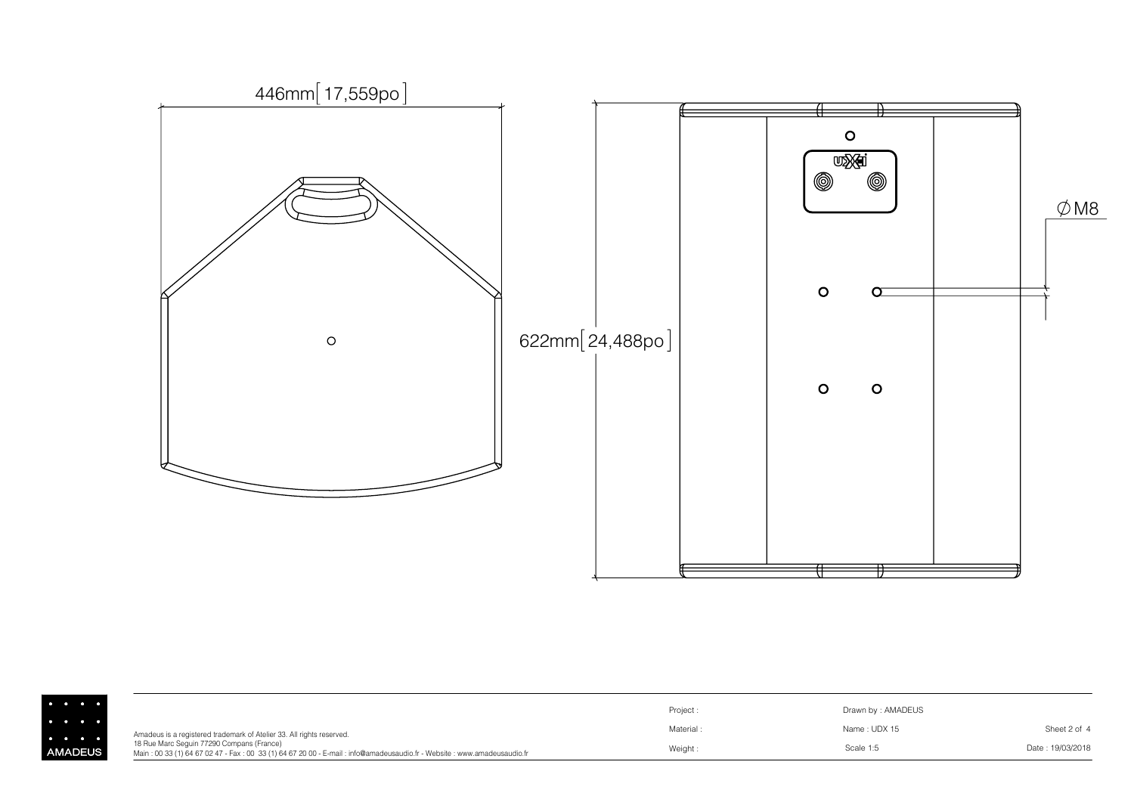

|                      |                                                                                                                                                                     | Project:  | Drawn by: AMADEUS |                  |
|----------------------|---------------------------------------------------------------------------------------------------------------------------------------------------------------------|-----------|-------------------|------------------|
| $\sim$ $\sim$ $\sim$ | Amadeus is a registered trademark of Atelier 33. All rights reserved.                                                                                               | Material: | Name: UDX 15      | Sheet 2 of 4     |
| <b>AADEUS</b>        | 18 Rue Marc Seguin 77290 Compans (France)<br>Main: 00 33 (1) 64 67 02 47 - Fax: 00 33 (1) 64 67 20 00 - E-mail: info@amadeusaudio.fr - Website: www.amadeusaudio.fr | Weight:   | Scale 1:5         | Date: 19/03/2018 |

 $\overline{A}$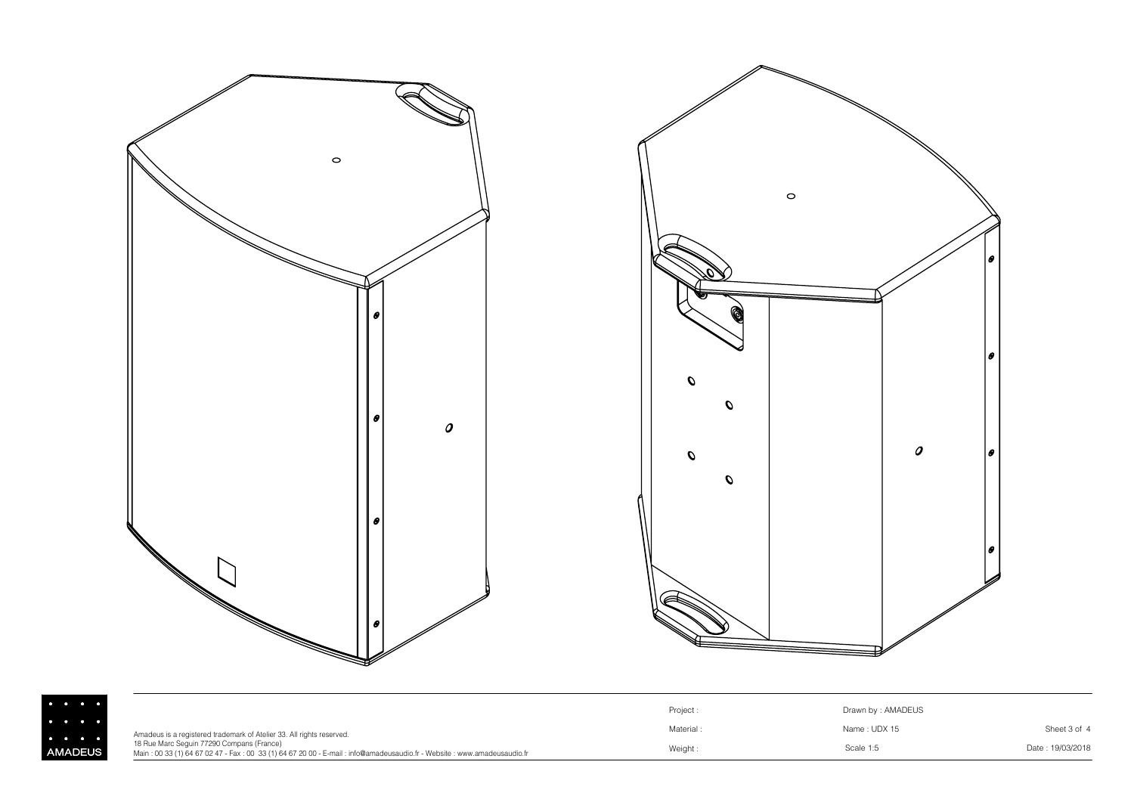

AM



|              |                                                                                                                                                                     | Project: | Drawn by: AMADEUS |                  |
|--------------|---------------------------------------------------------------------------------------------------------------------------------------------------------------------|----------|-------------------|------------------|
|              | Amadeus is a registered trademark of Atelier 33. All rights reserved.                                                                                               | Material | Name: UDX 15      | Sheet 3 of 4     |
| <b>ADEUS</b> | 18 Rue Marc Sequin 77290 Compans (France)<br>Main: 00 33 (1) 64 67 02 47 - Fax: 00 33 (1) 64 67 20 00 - E-mail: info@amadeusaudio.fr - Website: www.amadeusaudio.fr | Weight:  | Scale 1:5         | Date: 19/03/2018 |